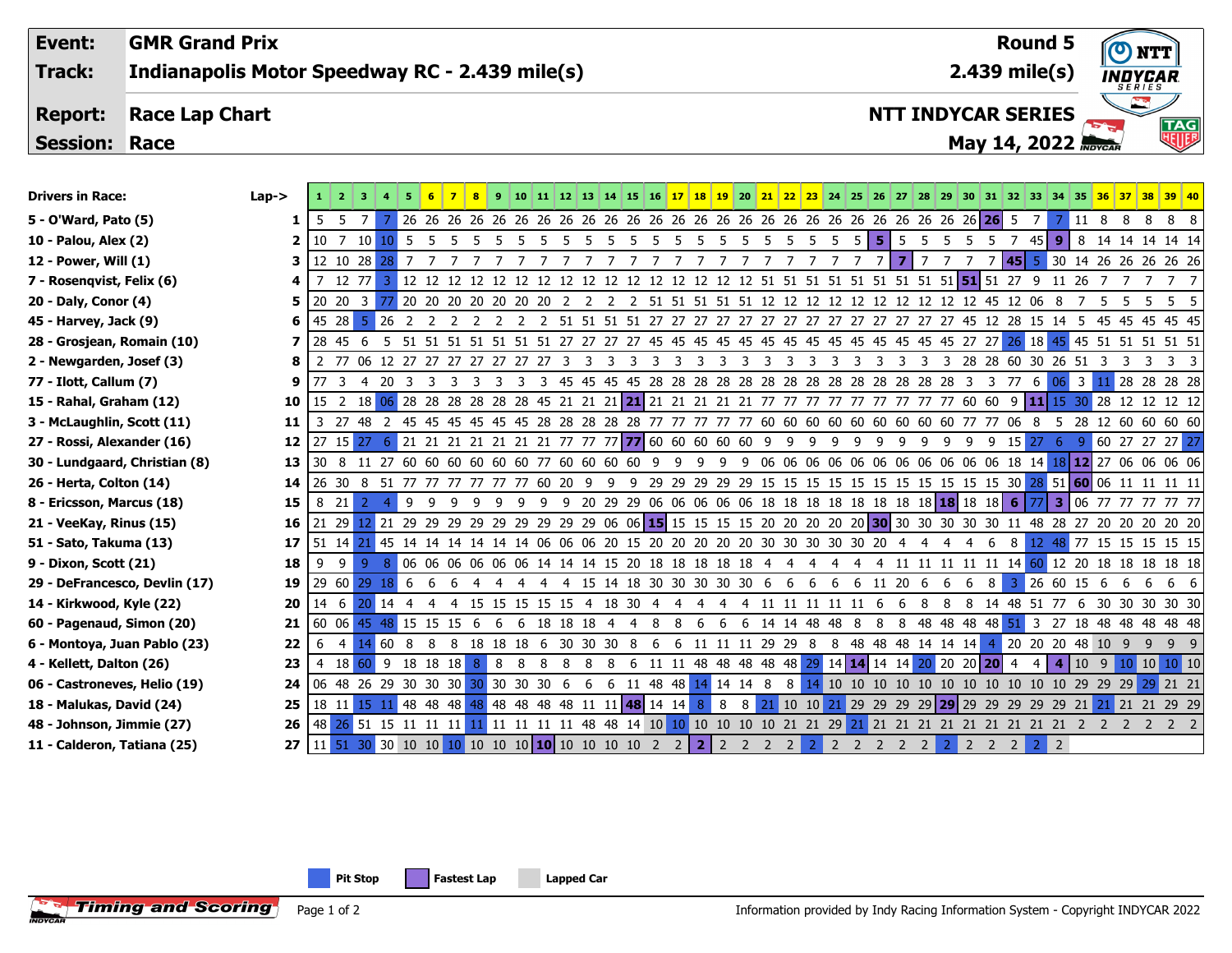| Event:<br><b>Track:</b>            | <b>GMR Grand Prix</b><br>Indianapolis Motor Speedway RC - 2.439 mile(s) |                                                                                            |                                                                                                                        |                                                                         |                              |                         |                                 |                                                                      |  |                     |                         |                         |                         | <b>Round 5</b><br>$2.439$ mile(s) |                         |                         |                     |                         |                            |                |                           |                | $\boldsymbol{\sigma}$<br>) NTT<br>INDYCAR |                       |                   |                |          |                         |            |                             |                                                                                                      |
|------------------------------------|-------------------------------------------------------------------------|--------------------------------------------------------------------------------------------|------------------------------------------------------------------------------------------------------------------------|-------------------------------------------------------------------------|------------------------------|-------------------------|---------------------------------|----------------------------------------------------------------------|--|---------------------|-------------------------|-------------------------|-------------------------|-----------------------------------|-------------------------|-------------------------|---------------------|-------------------------|----------------------------|----------------|---------------------------|----------------|-------------------------------------------|-----------------------|-------------------|----------------|----------|-------------------------|------------|-----------------------------|------------------------------------------------------------------------------------------------------|
|                                    |                                                                         |                                                                                            |                                                                                                                        |                                                                         |                              |                         |                                 |                                                                      |  |                     |                         |                         |                         |                                   |                         |                         |                     |                         |                            |                |                           |                |                                           |                       |                   |                |          |                         |            | SERIES                      |                                                                                                      |
| <b>Report:</b>                     | <b>Race Lap Chart</b>                                                   |                                                                                            |                                                                                                                        |                                                                         |                              |                         |                                 |                                                                      |  |                     |                         |                         |                         |                                   |                         |                         |                     |                         |                            |                | <b>NTT INDYCAR SERIES</b> |                |                                           |                       |                   |                |          |                         |            |                             |                                                                                                      |
| <b>Session:</b>                    | Race                                                                    |                                                                                            |                                                                                                                        |                                                                         |                              |                         |                                 |                                                                      |  |                     |                         |                         |                         |                                   |                         |                         |                     |                         | May 14, 2022 <b>Movcan</b> |                |                           |                |                                           |                       | <b>TAG</b><br>NUF |                |          |                         |            |                             |                                                                                                      |
|                                    |                                                                         |                                                                                            |                                                                                                                        |                                                                         |                              |                         |                                 |                                                                      |  |                     |                         |                         |                         |                                   |                         |                         |                     |                         |                            |                |                           |                |                                           |                       |                   |                |          |                         |            |                             |                                                                                                      |
| <b>Drivers in Race:</b>            |                                                                         | $Lap -$                                                                                    | 1 2 3 4 5 6 7 8 9 10 11 12 13 14 15 16 17 18 19 20 21 22 23 24 25 26 27 28 29 30 31 32 33 34 35 36 37 38 39 40         |                                                                         |                              |                         |                                 |                                                                      |  |                     |                         |                         |                         |                                   |                         |                         |                     |                         |                            |                |                           |                |                                           |                       |                   |                |          |                         |            |                             |                                                                                                      |
| 5 - O'Ward, Pato (5)               |                                                                         | 1                                                                                          | 5 5                                                                                                                    | $-7+$<br>7                                                              |                              |                         |                                 |                                                                      |  |                     |                         |                         |                         |                                   |                         |                         |                     |                         |                            |                |                           |                |                                           |                       | <b>26</b><br>- 5  | 7 <sub>h</sub> |          |                         | 7 11 8 8 8 |                             | 8                                                                                                    |
| 10 - Palou, Alex (2)<br>2          |                                                                         | $10 \quad 7 \quad 10$                                                                      |                                                                                                                        | 10 <sub>5</sub>                                                         | $5\overline{)}$              |                         | 5 5 5 5 5 5 5 5 5 5 5 5 5 5 5 5 |                                                                      |  |                     |                         |                         |                         |                                   |                         |                         | $5\overline{)}$     | - 5                     | -5                         | 5.             | -5<br>- 5                 |                | 5 5 5                                     |                       | 745I              | 9 <sup>°</sup> | 8        |                         |            | 14    14    14    14    14  |                                                                                                      |
| 12 - Power, Will (1)<br>з          |                                                                         |                                                                                            |                                                                                                                        |                                                                         |                              |                         |                                 |                                                                      |  |                     |                         |                         |                         |                                   |                         |                         |                     |                         |                            | $\overline{7}$ | 7 <sup>1</sup>            | 7 7 7          |                                           |                       |                   |                |          |                         |            | 7 45 5 30 14 26 26 26 26 26 |                                                                                                      |
| 7 - Rosenqvist, Felix (6)          |                                                                         |                                                                                            |                                                                                                                        |                                                                         |                              |                         |                                 |                                                                      |  |                     |                         |                         |                         |                                   |                         |                         |                     |                         |                            |                |                           |                |                                           |                       |                   |                |          | 7                       | 77         |                             |                                                                                                      |
|                                    | 20 - Daly, Conor (4)<br>5                                               |                                                                                            | 20 20 3 77 20 20 20 20 20 20 20 20 2 2 2 51 51 51 51 51 51 12 12 12 12 12 12 12 12 12 45 12 06 8 7 5                   |                                                                         |                              |                         |                                 |                                                                      |  |                     |                         |                         |                         |                                   |                         |                         |                     |                         |                            |                |                           |                |                                           |                       |                   |                |          |                         |            | 5 5                         | 5 <sub>5</sub>                                                                                       |
| 45 - Harvey, Jack (9)              |                                                                         |                                                                                            | 45 28                                                                                                                  | $5 \overline{)26}$                                                      | $\overline{2}$               | $\overline{2}$<br>2     |                                 |                                                                      |  |                     |                         |                         |                         |                                   |                         |                         |                     |                         |                            |                |                           |                |                                           |                       |                   |                |          |                         |            |                             |                                                                                                      |
|                                    | 28 - Grosjean, Romain (10)                                              |                                                                                            | 28 45 6                                                                                                                |                                                                         |                              |                         |                                 |                                                                      |  |                     |                         |                         |                         |                                   |                         |                         |                     |                         |                            |                |                           |                |                                           |                       |                   |                |          |                         |            |                             |                                                                                                      |
| 2 - Newgarden, Josef (3)<br>8      |                                                                         | 2 77 06 12 27 27 27 27 27 27 27 2                                                          |                                                                                                                        |                                                                         |                              |                         |                                 |                                                                      |  | 3<br>$\overline{3}$ | $\overline{\mathbf{3}}$ | $\overline{\mathbf{3}}$ | $\overline{\mathbf{3}}$ | 3<br>$\overline{\mathbf{3}}$      | $\overline{\mathbf{3}}$ | $\overline{\mathbf{3}}$ | $\overline{3}$<br>3 | $\overline{\mathbf{3}}$ | $\overline{\mathbf{3}}$    | 3              | 3<br>3                    |                |                                           | 3 28 28 60 30 26 51 3 |                   |                |          | $\overline{\mathbf{3}}$ | 3          | 3 3                         |                                                                                                      |
| 77 - Ilott, Callum (7)<br>9        |                                                                         | 77 <sup>3</sup>                                                                            | 4 20                                                                                                                   | $\overline{\mathbf{3}}$                                                 | $\overline{\mathbf{3}}$<br>3 | $\overline{\mathbf{3}}$ |                                 |                                                                      |  |                     |                         |                         |                         |                                   |                         |                         |                     |                         |                            |                |                           |                |                                           |                       |                   |                |          |                         |            | 28 28 28 28                 |                                                                                                      |
| 15 - Rahal, Graham (12)<br>10      |                                                                         | 15 <sub>2</sub>                                                                            | 18 <mark>06</mark> 28 28 28 28 28 28 45 21 21 21 21 21 21 21 21 21 27 77 77 77 77 77 60 60                             |                                                                         |                              |                         |                                 |                                                                      |  |                     |                         |                         |                         |                                   |                         |                         |                     |                         |                            |                |                           |                |                                           |                       |                   |                |          |                         |            | 9 11 15 30 28 12 12 12 12   |                                                                                                      |
|                                    | 3 - McLaughlin, Scott (11)<br>11                                        |                                                                                            | 3 27 48 2 45 45 45 45 45 45 28 28 28 28 28 27 77 77 77 77 60 60 60 60 60 60 60 60 60 77 77 06 8                        |                                                                         |                              |                         |                                 |                                                                      |  |                     |                         |                         |                         |                                   |                         |                         |                     |                         |                            |                |                           |                |                                           |                       |                   |                |          |                         |            |                             | 5 28 12 60 60 60 60                                                                                  |
| 27 - Rossi, Alexander (16)         |                                                                         | 12                                                                                         | 27 15 27 6 21 21 21 21 21 21 21 77 77 77 77 80 60 60 60 60 60 9 9 9 9 9 9 9                                            |                                                                         |                              |                         |                                 |                                                                      |  |                     |                         |                         |                         |                                   |                         |                         |                     |                         |                            |                |                           | 9              |                                           | 99                    | $9$ 15 27 6       |                |          |                         |            |                             | 9 60 27 27 27 27                                                                                     |
| 30 - Lundgaard, Christian (8)      |                                                                         | 13                                                                                         | 30 8 11 27 60 60 60 60 60 60 77 60 60 60 60 9 9 9 9 9 06 06 06 06 06 06 06 06 06 06 18 14 18 12 27 06 06 06 06         |                                                                         |                              |                         |                                 |                                                                      |  |                     |                         |                         |                         |                                   |                         |                         |                     |                         |                            |                |                           |                |                                           |                       |                   |                |          |                         |            |                             |                                                                                                      |
| 26 - Herta, Colton (14)            |                                                                         | 14                                                                                         | 26 30 8 51 77 77 77 77 77 77 60 20 9 9 9 29 29 29 29 29 15 15 15 15 15 15 15 15 15 15 15 15 30 28 51 60 06 11 11 11 11 |                                                                         |                              |                         |                                 |                                                                      |  |                     |                         |                         |                         |                                   |                         |                         |                     |                         |                            |                |                           |                |                                           |                       |                   |                |          |                         |            |                             |                                                                                                      |
| 8 - Ericsson, Marcus (18)          |                                                                         | 15                                                                                         | 8 21                                                                                                                   | -2<br>$\overline{4}$                                                    | 9                            | - 9<br>- 9              |                                 | 9 9 9 9 9 20 29 29 06 06 06 06 06 18 18 18 18 18 18 18 18 18 18 18 6 |  |                     |                         |                         |                         |                                   |                         |                         |                     |                         |                            |                |                           |                |                                           |                       |                   |                |          |                         |            |                             | 77 3 06 77 77 77 77 77                                                                               |
| 21 - VeeKay, Rinus (15)            |                                                                         | 16                                                                                         | 21 29 12 21 29 29 29 29 29 29 29 29 29 06 06 15 15 15 15 15 20 20 20 20 20 30 30 30 30 30 11 48 28 27 20 20 20 20 20   |                                                                         |                              |                         |                                 |                                                                      |  |                     |                         |                         |                         |                                   |                         |                         |                     |                         |                            |                |                           |                |                                           |                       |                   |                |          |                         |            |                             |                                                                                                      |
| 51 - Sato, Takuma (13)             |                                                                         | 17                                                                                         | 51 14 21 45 14 14 14 14 14 14 16 06 06 06 20 15 20 20 20 20 20 20 30 30 30 30 20 4                                     |                                                                         |                              |                         |                                 |                                                                      |  |                     |                         |                         |                         |                                   |                         |                         |                     |                         |                            |                |                           | $\overline{4}$ | $\overline{4}$                            | 4                     | 6                 |                |          |                         |            |                             | 8 12 48 77 15 15 15 15 15                                                                            |
| 9 - Dixon, Scott (21)              |                                                                         | 18                                                                                         | 9<br>9 <sup>1</sup>                                                                                                    | 9                                                                       |                              |                         |                                 |                                                                      |  |                     |                         |                         |                         |                                   |                         |                         |                     |                         |                            |                |                           |                |                                           |                       |                   |                |          |                         |            |                             | 8 06 06 06 06 06 06 14 14 15 20 18 18 18 18 18 4 4 4 4 4 4 11 11 11 11 11 14 60 12 20 18 18 18 18 18 |
| 29 - DeFrancesco, Devlin (17)      |                                                                         | 19                                                                                         | 29 60 29 18 6                                                                                                          |                                                                         |                              | -6<br>-6                | -4                              | 4 4 4 4 15 14 18 30 30 30 30 30 6 6 6                                |  |                     |                         |                         |                         |                                   |                         |                         |                     |                         | $6\overline{6}$            |                | 6 11 20                   | - 6            | 6                                         | 6                     | 8                 | 3.             | 26 60 15 |                         | - 6<br>- 6 | -6                          |                                                                                                      |
| 14 - Kirkwood, Kyle (22)           |                                                                         | 20                                                                                         | 14 6 20 14                                                                                                             |                                                                         | $\overline{4}$               | 4                       |                                 | 4 15 15 15 15 15 4 18 30 4 4 4 4 4 11 11 11 11 11 6                  |  |                     |                         |                         |                         |                                   |                         |                         |                     |                         |                            |                |                           | 6 8            |                                           |                       |                   |                |          |                         |            |                             | 8 8 14 48 51 77 6 30 30 30 30 30                                                                     |
| 60 - Pagenaud, Simon (20)          |                                                                         | 21                                                                                         | 60 06 45 48 15 15 15 6 6 6 18 18 18 4 4 8 8 6                                                                          |                                                                         |                              |                         |                                 |                                                                      |  |                     |                         |                         |                         |                                   |                         |                         |                     | 6 6 14 14 48 48 8       |                            |                |                           |                |                                           |                       |                   |                |          |                         |            |                             | 8 8 48 48 48 48 51 3 27 18 48 48 48 48 48                                                            |
| 22<br>6 - Montoya, Juan Pablo (23) |                                                                         | 6<br>$\overline{4}$                                                                        | 14                                                                                                                     | 60 8 8 8 18 18 18 6 30 30 30 8 6 6 11 11 11 29 29 8 8 48 48 48 14 14 14 |                              |                         |                                 |                                                                      |  |                     |                         |                         |                         |                                   |                         |                         |                     |                         |                            |                |                           |                |                                           |                       |                   |                |          | 4 20 20 20 48 10 9 9    |            | 99                          |                                                                                                      |
| 4 - Kellett, Dalton (26)<br>23     |                                                                         | 4 18 60 9 18 18 18 18 8 8 8 8 8 8 8 6 11 11 48 48 48 48 48 48 29 14 14 14 14 20 20 20 20 4 |                                                                                                                        |                                                                         |                              |                         |                                 |                                                                      |  |                     |                         |                         |                         |                                   |                         |                         |                     |                         |                            |                |                           |                |                                           |                       | 4 I               |                |          |                         |            | 4 10 9 10 10 10 10          |                                                                                                      |
| 06 - Castroneves, Helio (19)       |                                                                         | 24                                                                                         | 06 48 26 29 30 30 30 30 30 30 30 6                                                                                     |                                                                         |                              |                         |                                 |                                                                      |  |                     |                         |                         |                         |                                   | 6 6 11 48 48 14 14 14 8 |                         |                     |                         |                            |                |                           |                |                                           |                       |                   |                |          |                         |            |                             | 8 14 10 10 10 10 10 10 10 10 10 10 10 29 29 29 29 21 21                                              |
| 18 - Malukas, David (24)           |                                                                         | 25                                                                                         | 18 11 15 11 48 48 48 48 48 48 48 48 48 11 11 48 14 14 8 8 8 21 10 10 21 29 29 29 29 29 29 29 29 29 21 21 21 21 29 29   |                                                                         |                              |                         |                                 |                                                                      |  |                     |                         |                         |                         |                                   |                         |                         |                     |                         |                            |                |                           |                |                                           |                       |                   |                |          |                         |            |                             |                                                                                                      |
| 48 - Johnson, Jimmie (27)          |                                                                         | 26                                                                                         |                                                                                                                        |                                                                         |                              |                         |                                 |                                                                      |  |                     |                         |                         |                         |                                   |                         |                         |                     |                         |                            |                |                           |                |                                           |                       |                   |                |          |                         |            |                             | 2 2 2 2                                                                                              |

**11 - Calderon, Tatiana (25) 27** 11 51 30 30 10 10 10 10 10 10 **10** 10 10 10 10 2 2 **2** 2 2 2 2 2 2 2 2 2 2 2 2 2 2 2 2

**Pit Stop Fastest Lap Lapped Car**